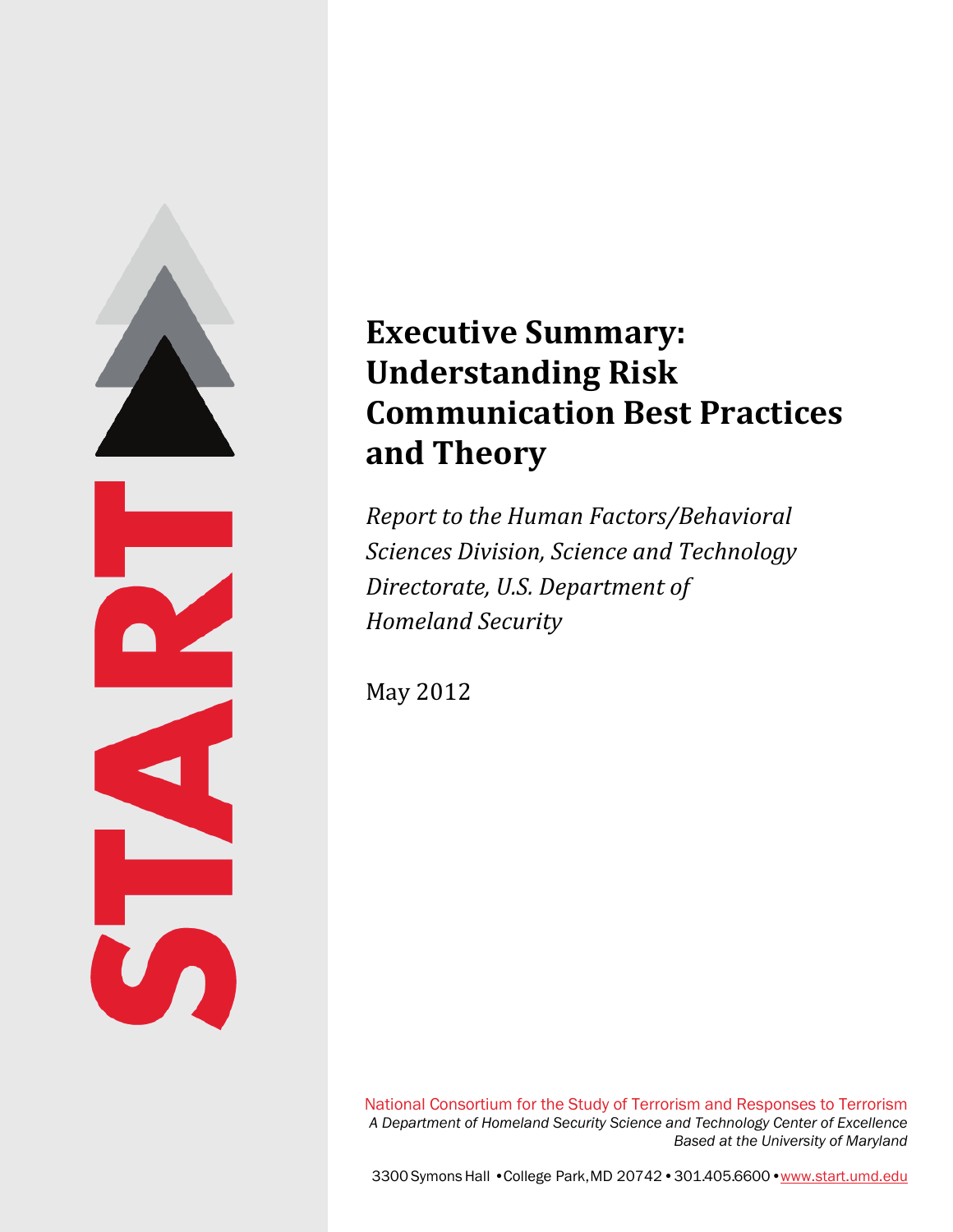

# **Executive Summary: Understanding Risk Communication Best Practices and Theory**

*Report to the Human Factors/Behavioral Sciences Division, Science and Technology Directorate, U.S. Department of Homeland Security*

May 2012

National Consortium for the Study of Terrorism and Responses to Terrorism *A Department of Homeland Security Science and Technology Center of Excellence Based at the University of Maryland*

3300 Symons Hall •College Park, MD 20742•301.405.6600•www.start.umd.edu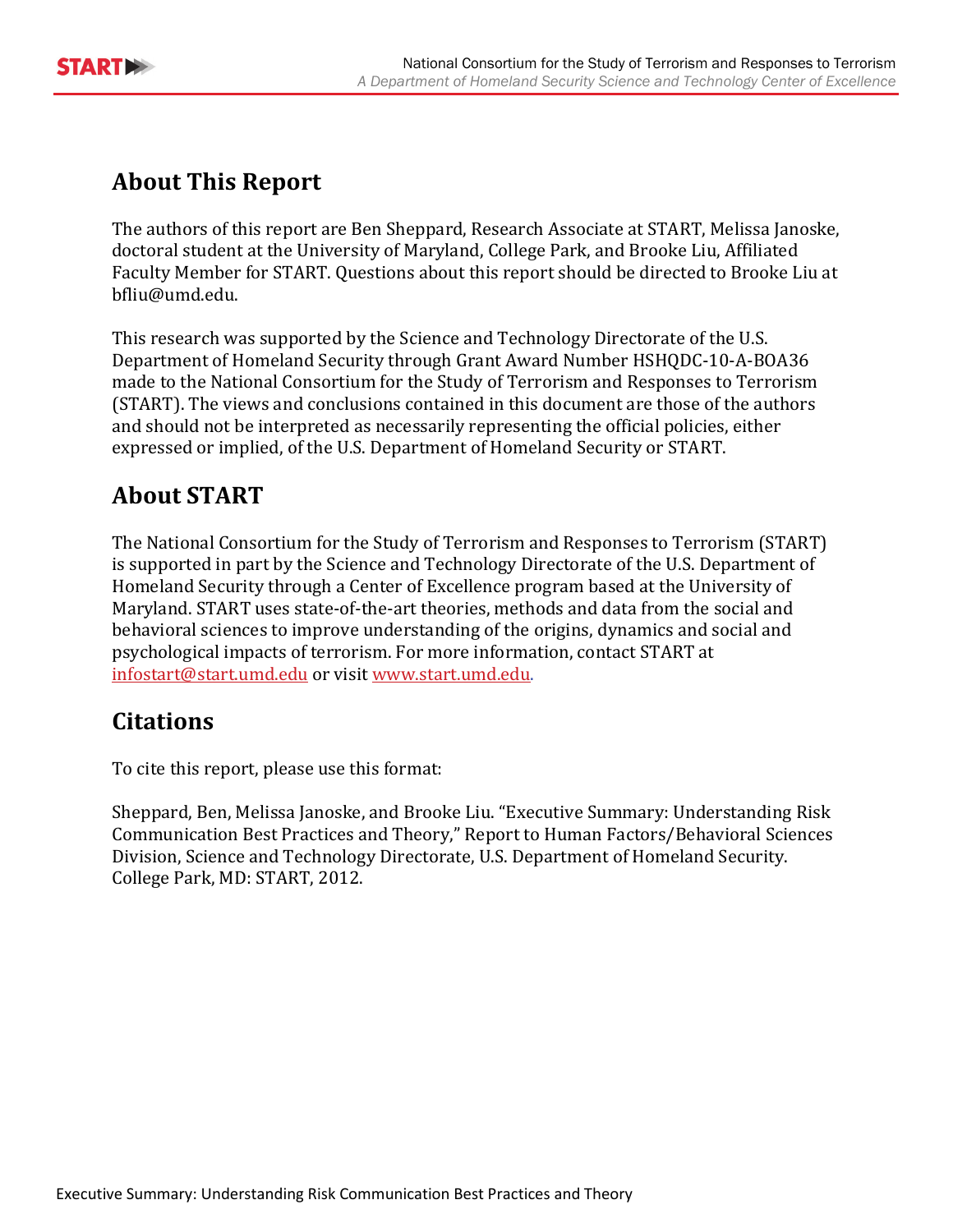

# **About This Report**

The authors of this report are Ben Sheppard, Research Associate at START, Melissa Janoske, doctoral student at the University of Maryland, College Park, and Brooke Liu, Affiliated Faculty Member for START. Questions about this report should be directed to Brooke Liu at bfliu@umd.edu.

This research was supported by the Science and Technology Directorate of the U.S. Department of Homeland Security through Grant Award Number HSHQDC-10-A-BOA36 made to the National Consortium for the Study of Terrorism and Responses to Terrorism (START). The views and conclusions contained in this document are those of the authors and should not be interpreted as necessarily representing the official policies, either expressed or implied, of the U.S. Department of Homeland Security or START.

# **About START**

The National Consortium for the Study of Terrorism and Responses to Terrorism (START) is supported in part by the Science and Technology Directorate of the U.S. Department of Homeland Security through a Center of Excellence program based at the University of Maryland. START uses state-of-the-art theories, methods and data from the social and behavioral sciences to improve understanding of the origins, dynamics and social and psychological impacts of terrorism. For more information, contact START at infostart@start.umd.edu or visit www.start.umd.edu.

## **Citations**

To cite this report, please use this format:

Sheppard, Ben, Melissa Janoske, and Brooke Liu. "Executive Summary: Understanding Risk Communication Best Practices and Theory," Report to Human Factors/Behavioral Sciences Division, Science and Technology Directorate, U.S. Department of Homeland Security. College Park, MD: START, 2012.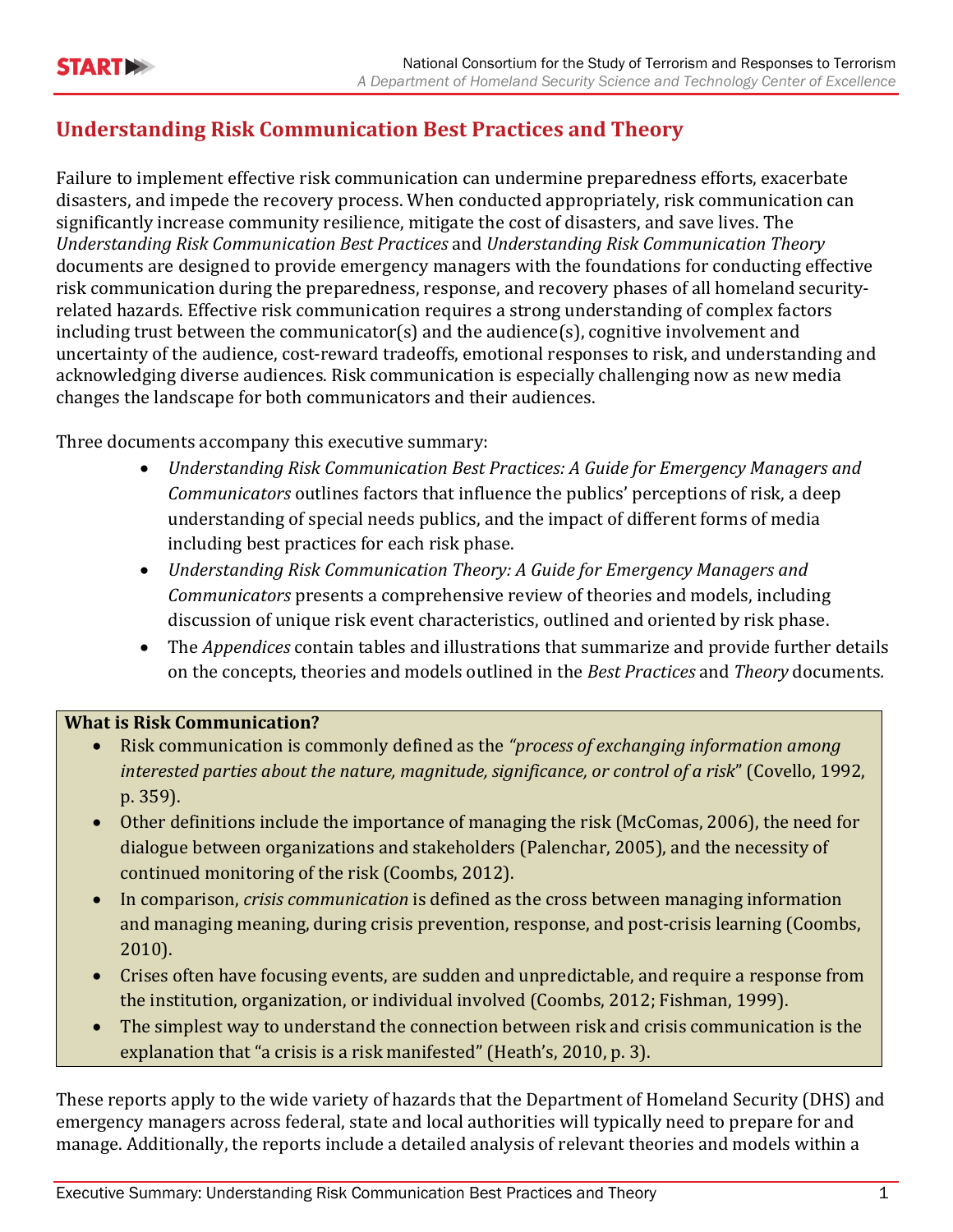### **Understanding Risk Communication Best Practices and Theory**

Failure to implement effective risk communication can undermine preparedness efforts, exacerbate disasters, and impede the recovery process. When conducted appropriately, risk communication can significantly increase community resilience, mitigate the cost of disasters, and save lives. The *Understanding Risk Communication Best Practices* and *Understanding Risk Communication Theory* documents are designed to provide emergency managers with the foundations for conducting effective risk communication during the preparedness, response, and recovery phases of all homeland securityrelated hazards. Effective risk communication requires a strong understanding of complex factors including trust between the communicator(s) and the audience(s), cognitive involvement and uncertainty of the audience, cost-reward tradeoffs, emotional responses to risk, and understanding and acknowledging diverse audiences. Risk communication is especially challenging now as new media changes the landscape for both communicators and their audiences.

Three documents accompany this executive summary:

- *Understanding Risk Communication Best Practices: A Guide for Emergency Managers and Communicators* outlines factors that influence the publics' perceptions of risk, a deep understanding of special needs publics, and the impact of different forms of media including best practices for each risk phase.
- *Understanding Risk Communication Theory: A Guide for Emergency Managers and Communicators* presents a comprehensive review of theories and models, including discussion of unique risk event characteristics, outlined and oriented by risk phase.
- The *Appendices* contain tables and illustrations that summarize and provide further details on the concepts, theories and models outlined in the *Best Practices* and *Theory* documents*.*

#### **What is Risk Communication?**

- Risk communication is commonly defined as the *"process of exchanging information among interested parties about the nature, magnitude, significance, or control of a risk*" (Covello, 1992, p. 359).
- Other definitions include the importance of managing the risk (McComas, 2006), the need for dialogue between organizations and stakeholders (Palenchar, 2005), and the necessity of continued monitoring of the risk (Coombs, 2012).
- In comparison, *crisis communication* is defined as the cross between managing information and managing meaning, during crisis prevention, response, and post-crisis learning (Coombs, 2010).
- Crises often have focusing events, are sudden and unpredictable, and require a response from the institution, organization, or individual involved (Coombs, 2012; Fishman, 1999).
- The simplest way to understand the connection between risk and crisis communication is the explanation that "a crisis is a risk manifested" (Heath's, 2010, p. 3).

These reports apply to the wide variety of hazards that the Department of Homeland Security (DHS) and emergency managers across federal, state and local authorities will typically need to prepare for and manage. Additionally, the reports include a detailed analysis of relevant theories and models within a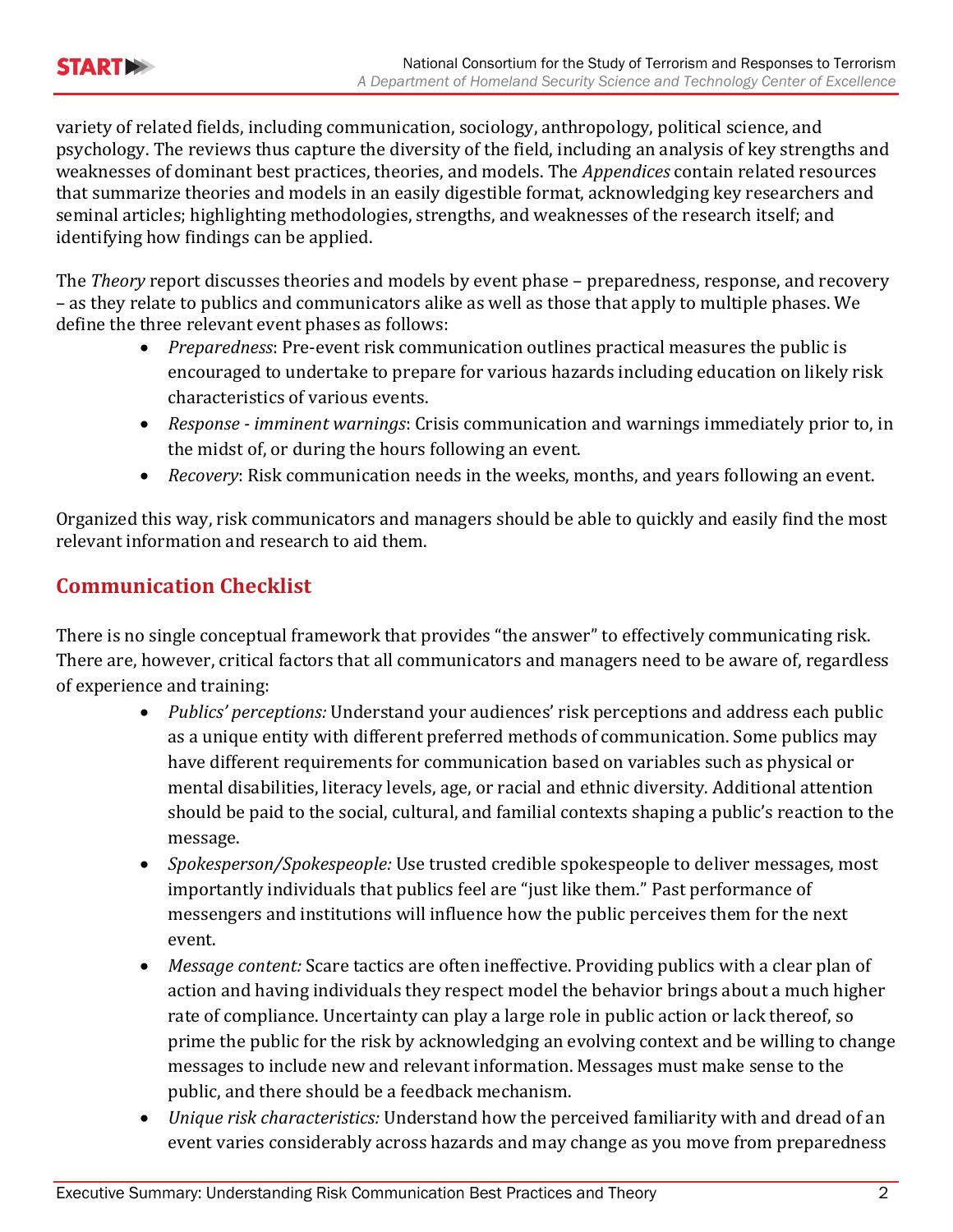

variety of related fields, including communication, sociology, anthropology, political science, and psychology. The reviews thus capture the diversity of the field, including an analysis of key strengths and weaknesses of dominant best practices, theories, and models. The *Appendices* contain related resources that summarize theories and models in an easily digestible format, acknowledging key researchers and seminal articles; highlighting methodologies, strengths, and weaknesses of the research itself; and identifying how findings can be applied.

The *Theory* report discusses theories and models by event phase – preparedness, response, and recovery – as they relate to publics and communicators alike as well as those that apply to multiple phases. We define the three relevant event phases as follows:

- *Preparedness*: Pre-event risk communication outlines practical measures the public is encouraged to undertake to prepare for various hazards including education on likely risk characteristics of various events.
- *Response - imminent warnings*: Crisis communication and warnings immediately prior to, in the midst of, or during the hours following an event.
- *Recovery*: Risk communication needs in the weeks, months, and years following an event.

Organized this way, risk communicators and managers should be able to quickly and easily find the most relevant information and research to aid them.

### **Communication Checklist**

There is no single conceptual framework that provides "the answer" to effectively communicating risk. There are, however, critical factors that all communicators and managers need to be aware of, regardless of experience and training:

- *Publics' perceptions:* Understand your audiences' risk perceptions and address each public as a unique entity with different preferred methods of communication. Some publics may have different requirements for communication based on variables such as physical or mental disabilities, literacy levels, age, or racial and ethnic diversity. Additional attention should be paid to the social, cultural, and familial contexts shaping a public's reaction to the message.
- *Spokesperson/Spokespeople:* Use trusted credible spokespeople to deliver messages, most importantly individuals that publics feel are "just like them." Past performance of messengers and institutions will influence how the public perceives them for the next event.
- *Message content:* Scare tactics are often ineffective. Providing publics with a clear plan of action and having individuals they respect model the behavior brings about a much higher rate of compliance. Uncertainty can play a large role in public action or lack thereof, so prime the public for the risk by acknowledging an evolving context and be willing to change messages to include new and relevant information. Messages must make sense to the public, and there should be a feedback mechanism.
- *Unique risk characteristics:* Understand how the perceived familiarity with and dread of an event varies considerably across hazards and may change as you move from preparedness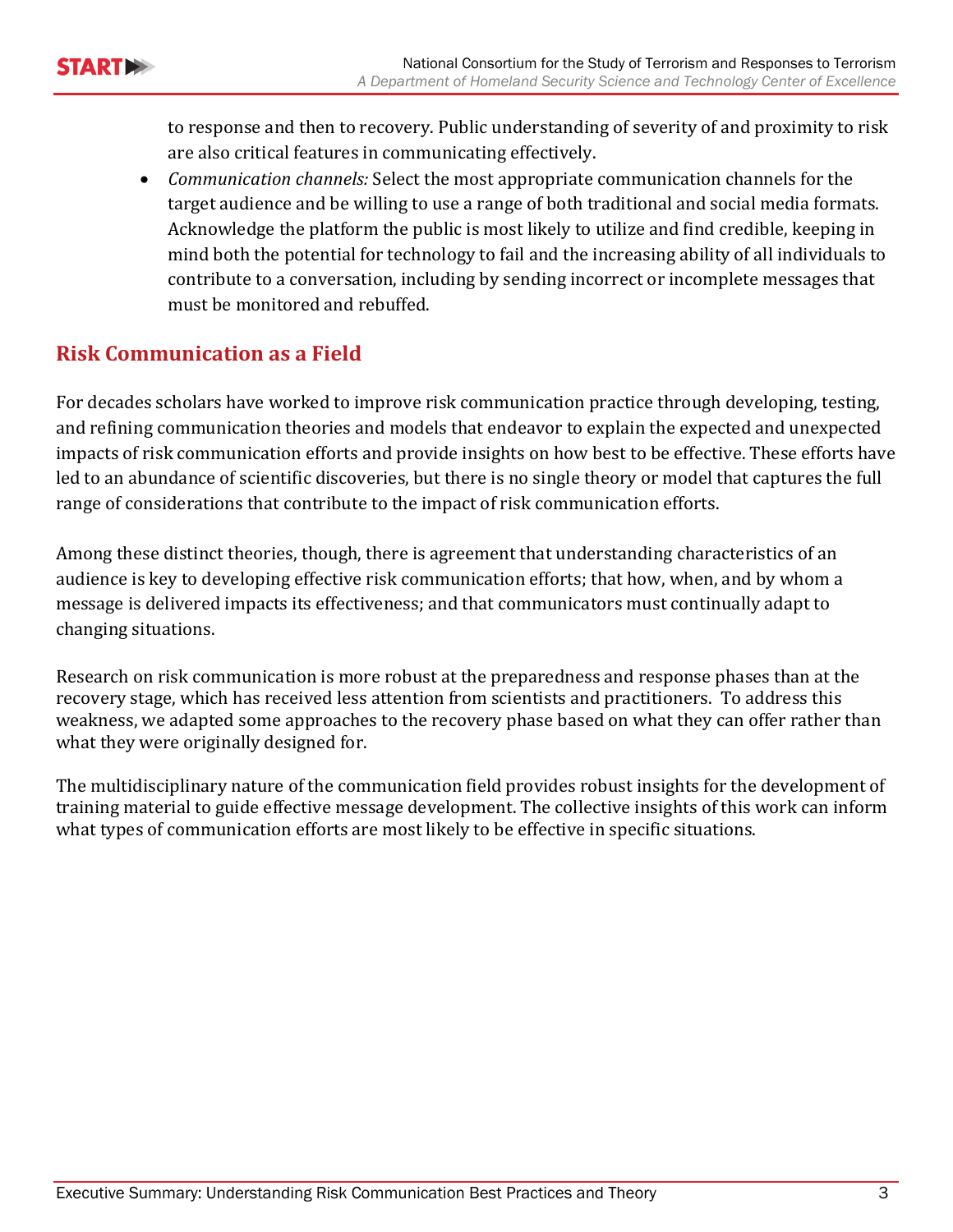to response and then to recovery. Public understanding of severity of and proximity to risk are also critical features in communicating effectively.

• *Communication channels:* Select the most appropriate communication channels for the target audience and be willing to use a range of both traditional and social media formats. Acknowledge the platform the public is most likely to utilize and find credible, keeping in mind both the potential for technology to fail and the increasing ability of all individuals to contribute to a conversation, including by sending incorrect or incomplete messages that must be monitored and rebuffed.

#### **Risk Communication as a Field**

For decades scholars have worked to improve risk communication practice through developing, testing, and refining communication theories and models that endeavor to explain the expected and unexpected impacts of risk communication efforts and provide insights on how best to be effective. These efforts have led to an abundance of scientific discoveries, but there is no single theory or model that captures the full range of considerations that contribute to the impact of risk communication efforts.

Among these distinct theories, though, there is agreement that understanding characteristics of an audience is key to developing effective risk communication efforts; that how, when, and by whom a message is delivered impacts its effectiveness; and that communicators must continually adapt to changing situations.

Research on risk communication is more robust at the preparedness and response phases than at the recovery stage, which has received less attention from scientists and practitioners. To address this weakness, we adapted some approaches to the recovery phase based on what they can offer rather than what they were originally designed for.

The multidisciplinary nature of the communication field provides robust insights for the development of training material to guide effective message development. The collective insights of this work can inform what types of communication efforts are most likely to be effective in specific situations.